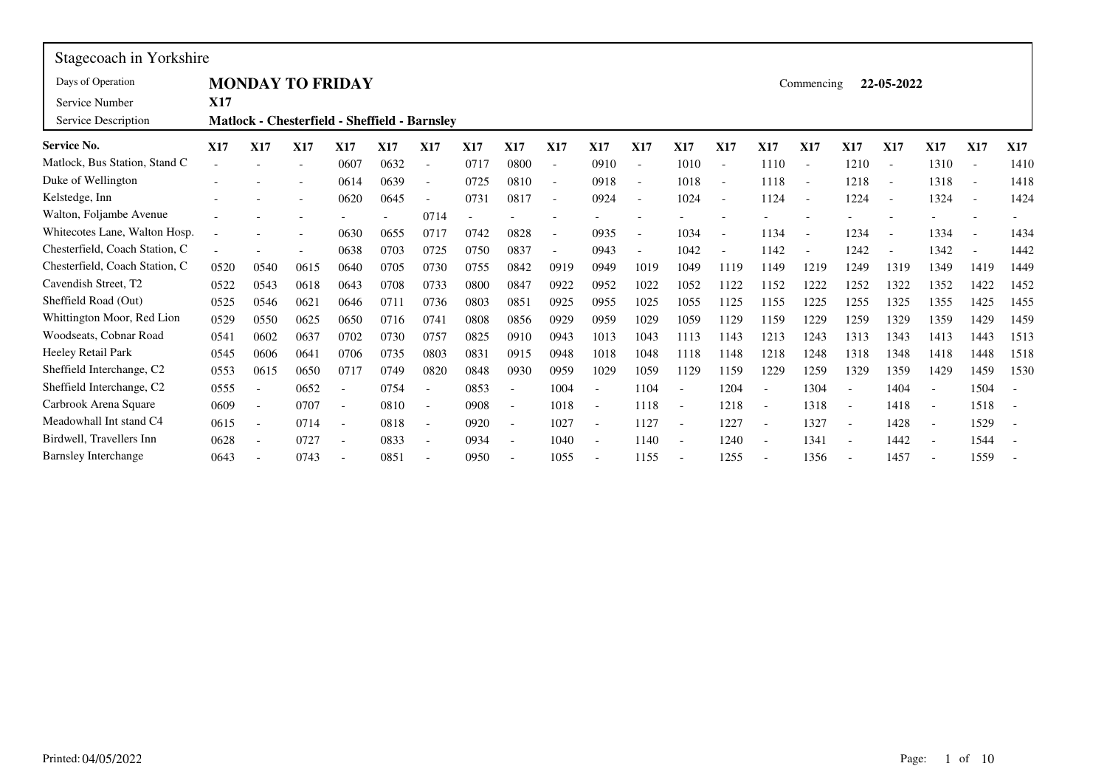| Stagecoach in Yorkshire        |            |                                               |                              |                |            |                          |      |                          |                          |                          |                          |                          |                          |                          |                          |                          |                          |            |                          |      |
|--------------------------------|------------|-----------------------------------------------|------------------------------|----------------|------------|--------------------------|------|--------------------------|--------------------------|--------------------------|--------------------------|--------------------------|--------------------------|--------------------------|--------------------------|--------------------------|--------------------------|------------|--------------------------|------|
| Days of Operation              |            | <b>MONDAY TO FRIDAY</b>                       |                              |                |            |                          |      |                          |                          |                          |                          |                          |                          |                          | Commencing               |                          | 22-05-2022               |            |                          |      |
| Service Number                 | <b>X17</b> |                                               |                              |                |            |                          |      |                          |                          |                          |                          |                          |                          |                          |                          |                          |                          |            |                          |      |
| Service Description            |            | Matlock - Chesterfield - Sheffield - Barnsley |                              |                |            |                          |      |                          |                          |                          |                          |                          |                          |                          |                          |                          |                          |            |                          |      |
| <b>Service No.</b>             | <b>X17</b> | <b>X17</b>                                    | <b>X17</b>                   | <b>X17</b>     | <b>X17</b> | <b>X17</b>               | X17  | X17                      | <b>X17</b>               | X17                      | X17                      | X17                      | <b>X17</b>               | X17                      | <b>X17</b>               | <b>X17</b>               | X17                      | <b>X17</b> | X17                      | X17  |
| Matlock, Bus Station, Stand C  |            |                                               | $\qquad \qquad \blacksquare$ | 0607           | 0632       | $\overline{\phantom{a}}$ | 0717 | 0800                     | $\overline{\phantom{a}}$ | 0910                     | $\overline{\phantom{a}}$ | 1010                     | $\overline{\phantom{a}}$ | 1110                     | $\bar{a}$                | 1210                     | $\overline{\phantom{a}}$ | 1310       | $\overline{\phantom{a}}$ | 1410 |
| Duke of Wellington             |            |                                               |                              | 0614           | 0639       | $\overline{\phantom{a}}$ | 0725 | 0810                     | $\overline{\phantom{a}}$ | 0918                     |                          | 1018                     |                          | 1118                     | $\blacksquare$           | 1218                     | $\overline{\phantom{a}}$ | 1318       |                          | 1418 |
| Kelstedge, Inn                 |            |                                               |                              | 0620           | 0645       | $\overline{\phantom{a}}$ | 0731 | 0817                     | $\overline{\phantom{a}}$ | 0924                     |                          | 1024                     |                          | 1124                     | $\overline{\phantom{a}}$ | 1224                     | $\overline{\phantom{a}}$ | 1324       | $\overline{\phantom{a}}$ | 1424 |
| Walton, Foljambe Avenue        |            |                                               |                              |                |            | 0714                     |      |                          |                          |                          |                          |                          |                          |                          |                          |                          |                          |            |                          |      |
| Whitecotes Lane, Walton Hosp.  |            |                                               |                              | 0630           | 0655       | 0717                     | 0742 | 0828                     | $\overline{a}$           | 0935                     |                          | 1034                     | $\overline{\phantom{a}}$ | 1134                     | $\overline{\phantom{a}}$ | 1234                     | $\overline{\phantom{a}}$ | 1334       |                          | 1434 |
| Chesterfield, Coach Station, C |            |                                               |                              | 0638           | 0703       | 0725                     | 0750 | 0837                     | $\overline{a}$           | 0943                     |                          | 1042                     |                          | 1142                     |                          | 1242                     |                          | 1342       |                          | 1442 |
| Chesterfield, Coach Station, C | 0520       | 0540                                          | 0615                         | 0640           | 0705       | 0730                     | 0755 | 0842                     | 0919                     | 0949                     | 1019                     | 1049                     | 1119                     | 1149                     | 1219                     | 1249                     | 1319                     | 1349       | 1419                     | 1449 |
| Cavendish Street, T2           | 0522       | 0543                                          | 0618                         | 0643           | 0708       | 0733                     | 0800 | 0847                     | 0922                     | 0952                     | 1022                     | 1052                     | 1122                     | 1152                     | 1222                     | 1252                     | 1322                     | 1352       | 1422                     | 1452 |
| Sheffield Road (Out)           | 0525       | 0546                                          | 0621                         | 0646           | 0711       | 0736                     | 0803 | 0851                     | 0925                     | 0955                     | 1025                     | 1055                     | 1125                     | 1155                     | 1225                     | 1255                     | 1325                     | 1355       | 1425                     | 1455 |
| Whittington Moor, Red Lion     | 0529       | 0550                                          | 0625                         | 0650           | 0716       | 0741                     | 0808 | 0856                     | 0929                     | 0959                     | 1029                     | 1059                     | 1129                     | 1159                     | 1229                     | 1259                     | 1329                     | 1359       | 1429                     | 1459 |
| Woodseats, Cobnar Road         | 0541       | 0602                                          | 0637                         | 0702           | 0730       | 0757                     | 0825 | 0910                     | 0943                     | 1013                     | 1043                     | 1113                     | 1143                     | 1213                     | 1243                     | 1313                     | 1343                     | 1413       | 1443                     | 1513 |
| Heeley Retail Park             | 0545       | 0606                                          | 0641                         | 0706           | 0735       | 0803                     | 0831 | 0915                     | 0948                     | 1018                     | 1048                     | 1118                     | 1148                     | 1218                     | 1248                     | 1318                     | 1348                     | 1418       | 1448                     | 1518 |
| Sheffield Interchange, C2      | 0553       | 0615                                          | 0650                         | 0717           | 0749       | 0820                     | 0848 | 0930                     | 0959                     | 1029                     | 1059                     | 1129                     | 1159                     | 1229                     | 1259                     | 1329                     | 1359                     | 1429       | 1459                     | 1530 |
| Sheffield Interchange, C2      | 0555       | $\overline{\phantom{a}}$                      | 0652                         |                | 0754       | $\qquad \qquad -$        | 0853 | $\overline{\phantom{a}}$ | 1004                     | $\overline{\phantom{a}}$ | 1104                     | $\overline{\phantom{a}}$ | 1204                     | $\overline{\phantom{a}}$ | 1304                     | $\overline{a}$           | 1404                     |            | 1504                     |      |
| Carbrook Arena Square          | 0609       | $\overline{\phantom{a}}$                      | 0707                         |                | 0810       |                          | 0908 | $\overline{\phantom{a}}$ | 1018                     | $\overline{a}$           | 1118                     |                          | 1218                     |                          | 1318                     |                          | 1418                     |            | 1518                     |      |
| Meadowhall Int stand C4        | 0615       | $\blacksquare$                                | 0714                         | $\blacksquare$ | 0818       | $\overline{\phantom{a}}$ | 0920 | $\overline{\phantom{a}}$ | 1027                     | $\overline{\phantom{a}}$ | 1127                     | $\overline{\phantom{a}}$ | 1227                     | $\overline{\phantom{a}}$ | 1327                     |                          | 1428                     |            | 1529                     |      |
| Birdwell, Travellers Inn       | 0628       | $\overline{\phantom{a}}$                      | 0727                         |                | 0833       | $\overline{\phantom{a}}$ | 0934 | $\overline{\phantom{a}}$ | 1040                     | $\overline{\phantom{a}}$ | 1140                     | $\overline{\phantom{a}}$ | 1240                     | $\overline{\phantom{a}}$ | 1341                     |                          | 1442                     |            | 1544                     |      |
| <b>Barnsley Interchange</b>    | 0643       | $\overline{\phantom{a}}$                      | 0743                         |                | 0851       | $\overline{\phantom{a}}$ | 0950 | $\overline{\phantom{a}}$ | 1055                     | $\overline{\phantom{a}}$ | 1155                     | $\overline{\phantom{a}}$ | 1255                     | $\overline{\phantom{a}}$ | 1356                     | $\overline{\phantom{a}}$ | 1457                     |            | 1559                     |      |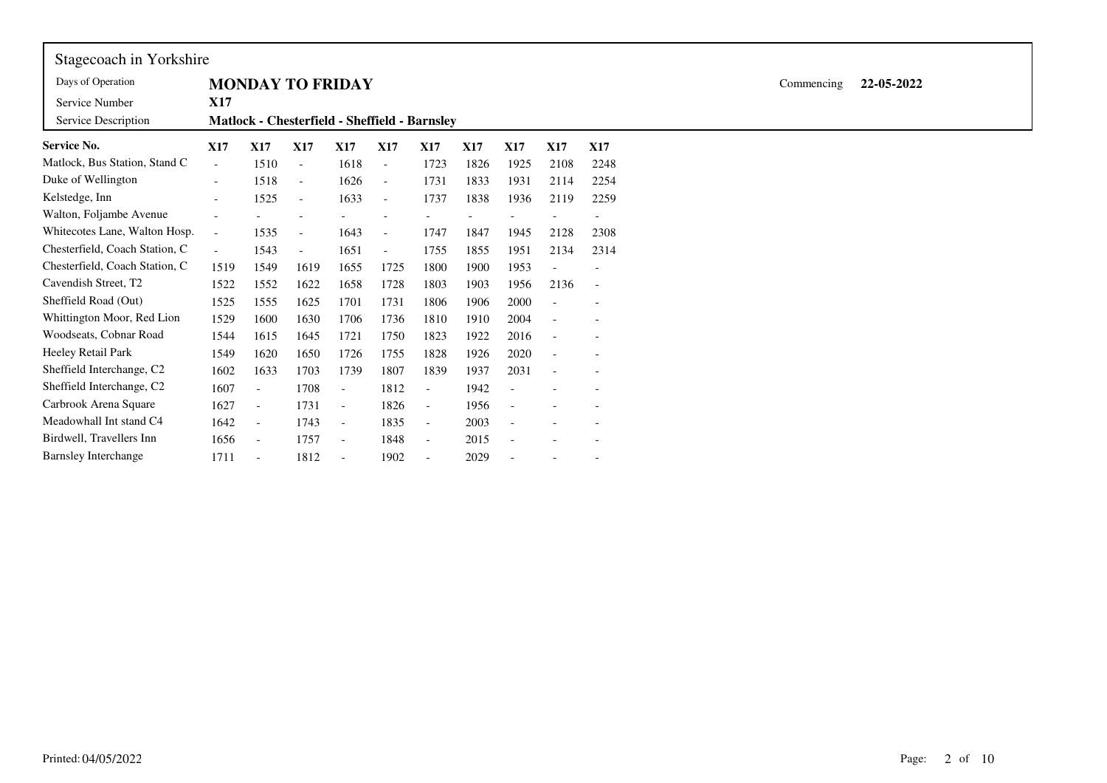| Stagecoach in Yorkshire        |                          |                |                          |                                               |                          |                          |            |            |                              |                          |  |            |            |
|--------------------------------|--------------------------|----------------|--------------------------|-----------------------------------------------|--------------------------|--------------------------|------------|------------|------------------------------|--------------------------|--|------------|------------|
| Days of Operation              |                          |                |                          | <b>MONDAY TO FRIDAY</b>                       |                          |                          |            |            |                              |                          |  | Commencing | 22-05-2022 |
| Service Number                 | <b>X17</b>               |                |                          |                                               |                          |                          |            |            |                              |                          |  |            |            |
| Service Description            |                          |                |                          | Matlock - Chesterfield - Sheffield - Barnsley |                          |                          |            |            |                              |                          |  |            |            |
| <b>Service No.</b>             | <b>X17</b>               | <b>X17</b>     | X17                      | <b>X17</b>                                    | X17                      | <b>X17</b>               | <b>X17</b> | <b>X17</b> | X17                          | X17                      |  |            |            |
| Matlock, Bus Station, Stand C  | $\overline{\phantom{a}}$ | 1510           | $\sim$                   | 1618                                          | $\sim$                   | 1723                     | 1826       | 1925       | 2108                         | 2248                     |  |            |            |
| Duke of Wellington             | $\overline{\phantom{a}}$ | 1518           | $\overline{\phantom{a}}$ | 1626                                          | $\blacksquare$           | 1731                     | 1833       | 1931       | 2114                         | 2254                     |  |            |            |
| Kelstedge, Inn                 | $\blacksquare$           | 1525           | $\overline{\phantom{a}}$ | 1633                                          | $\blacksquare$           | 1737                     | 1838       | 1936       | 2119                         | 2259                     |  |            |            |
| Walton, Foljambe Avenue        |                          |                |                          |                                               |                          |                          |            |            |                              |                          |  |            |            |
| Whitecotes Lane, Walton Hosp.  | $\overline{\phantom{a}}$ | 1535           | $\overline{\phantom{a}}$ | 1643                                          | $\blacksquare$           | 1747                     | 1847       | 1945       | 2128                         | 2308                     |  |            |            |
| Chesterfield, Coach Station, C | $\sim$                   | 1543           | $\sim$                   | 1651                                          | $\overline{\phantom{a}}$ | 1755                     | 1855       | 1951       | 2134                         | 2314                     |  |            |            |
| Chesterfield, Coach Station, C | 1519                     | 1549           | 1619                     | 1655                                          | 1725                     | 1800                     | 1900       | 1953       |                              |                          |  |            |            |
| Cavendish Street, T2           | 1522                     | 1552           | 1622                     | 1658                                          | 1728                     | 1803                     | 1903       | 1956       | 2136                         | $\overline{\phantom{a}}$ |  |            |            |
| Sheffield Road (Out)           | 1525                     | 1555           | 1625                     | 1701                                          | 1731                     | 1806                     | 1906       | 2000       | $\overline{a}$               | $\overline{\phantom{0}}$ |  |            |            |
| Whittington Moor, Red Lion     | 1529                     | 1600           | 1630                     | 1706                                          | 1736                     | 1810                     | 1910       | 2004       | $\qquad \qquad \blacksquare$ | $\overline{\phantom{a}}$ |  |            |            |
| Woodseats, Cobnar Road         | 1544                     | 1615           | 1645                     | 1721                                          | 1750                     | 1823                     | 1922       | 2016       | $\overline{\phantom{a}}$     |                          |  |            |            |
| Heeley Retail Park             | 1549                     | 1620           | 1650                     | 1726                                          | 1755                     | 1828                     | 1926       | 2020       | $\overline{\phantom{a}}$     | $\overline{\phantom{a}}$ |  |            |            |
| Sheffield Interchange, C2      | 1602                     | 1633           | 1703                     | 1739                                          | 1807                     | 1839                     | 1937       | 2031       | $\overline{\phantom{a}}$     | $\overline{\phantom{a}}$ |  |            |            |
| Sheffield Interchange, C2      | 1607                     | $\sim$         | 1708                     | $\sim$                                        | 1812                     | $\overline{\phantom{a}}$ | 1942       |            |                              |                          |  |            |            |
| Carbrook Arena Square          | 1627                     |                | 1731                     |                                               | 1826                     | $\overline{\phantom{a}}$ | 1956       |            |                              |                          |  |            |            |
| Meadowhall Int stand C4        | 1642                     | $\overline{a}$ | 1743                     | $\overline{\phantom{a}}$                      | 1835                     | $\overline{\phantom{a}}$ | 2003       |            |                              | $\overline{\phantom{a}}$ |  |            |            |
| Birdwell, Travellers Inn       | 1656                     | $\overline{a}$ | 1757                     |                                               | 1848                     | $\overline{\phantom{a}}$ | 2015       |            |                              |                          |  |            |            |
| <b>Barnsley Interchange</b>    | 1711                     |                | 1812                     |                                               | 1902                     | $\sim$                   | 2029       |            |                              |                          |  |            |            |
|                                |                          |                |                          |                                               |                          |                          |            |            |                              |                          |  |            |            |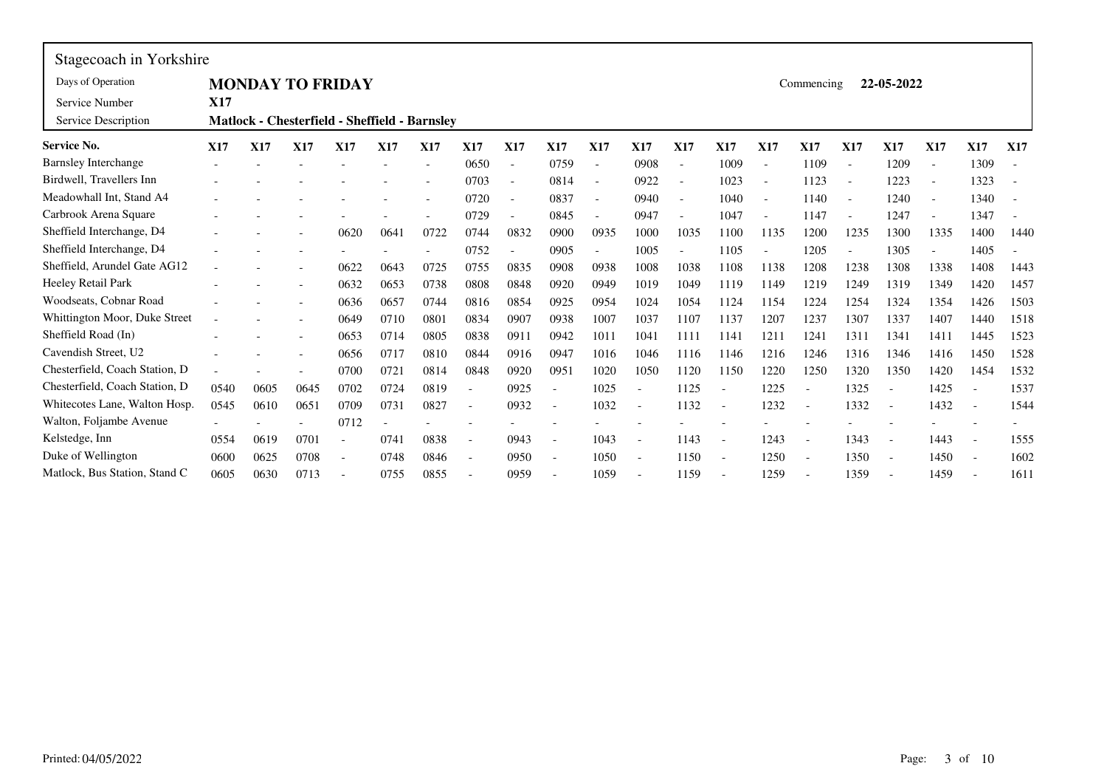| Stagecoach in Yorkshire                                    |            |                                                                                 |            |            |      |            |                          |                          |                          |                          |            |                          |                          |                          |            |                          |                          |                          |                          |                |
|------------------------------------------------------------|------------|---------------------------------------------------------------------------------|------------|------------|------|------------|--------------------------|--------------------------|--------------------------|--------------------------|------------|--------------------------|--------------------------|--------------------------|------------|--------------------------|--------------------------|--------------------------|--------------------------|----------------|
| Days of Operation<br>Service Number<br>Service Description | <b>X17</b> | <b>MONDAY TO FRIDAY</b><br><b>Matlock - Chesterfield - Sheffield - Barnsley</b> |            |            |      |            |                          |                          |                          |                          |            |                          |                          |                          | Commencing |                          | 22-05-2022               |                          |                          |                |
| <b>Service No.</b>                                         | <b>X17</b> | X17                                                                             | <b>X17</b> | <b>X17</b> | X17  | <b>X17</b> | X17                      | X17                      | <b>X17</b>               | <b>X17</b>               | <b>X17</b> | X17                      | X17                      | <b>X17</b>               | X17        | <b>X17</b>               | <b>X17</b>               | X17                      | X17                      | <b>X17</b>     |
| <b>Barnsley Interchange</b>                                |            |                                                                                 |            |            |      |            | 0650                     | $\overline{\phantom{a}}$ | 0759                     | $\overline{\phantom{a}}$ | 0908       |                          | 1009                     | $\overline{\phantom{a}}$ | 1109       | $\overline{\phantom{a}}$ | 1209                     |                          | 1309                     | $\blacksquare$ |
| Birdwell, Travellers Inn                                   |            |                                                                                 |            |            |      |            | 0703                     | $\overline{\phantom{a}}$ | 0814                     | $\overline{\phantom{a}}$ | 0922       |                          | 1023                     | $\overline{\phantom{a}}$ | 1123       | $\overline{\phantom{a}}$ | 1223                     |                          | 1323                     |                |
| Meadowhall Int, Stand A4                                   |            |                                                                                 |            |            |      |            | 0720                     |                          | 0837                     | $\overline{\phantom{a}}$ | 0940       |                          | 1040                     | $\overline{a}$           | 1140       |                          | 1240                     |                          | 1340                     |                |
| Carbrook Arena Square                                      |            |                                                                                 |            |            |      |            | 0729                     | $\overline{\phantom{a}}$ | 0845                     | $\overline{\phantom{a}}$ | 0947       |                          | 1047                     | $\overline{\phantom{a}}$ | 1147       |                          | 1247                     |                          | 1347                     |                |
| Sheffield Interchange, D4                                  |            |                                                                                 |            | 0620       | 0641 | 0722       | 0744                     | 0832                     | 0900                     | 0935                     | 1000       | 1035                     | 1100                     | 1135                     | 1200       | 1235                     | 1300                     | 1335                     | 1400                     | 1440           |
| Sheffield Interchange, D4                                  |            |                                                                                 |            |            |      |            | 0752                     | $\overline{\phantom{a}}$ | 0905                     | $\overline{\phantom{a}}$ | 1005       | $\overline{\phantom{a}}$ | 1105                     | $\overline{\phantom{a}}$ | 1205       |                          | 1305                     | $\overline{\phantom{a}}$ | 1405                     |                |
| Sheffield, Arundel Gate AG12                               |            |                                                                                 |            | 0622       | 0643 | 0725       | 0755                     | 0835                     | 0908                     | 0938                     | 1008       | 1038                     | 1108                     | 1138                     | 1208       | 1238                     | 1308                     | 1338                     | 1408                     | 1443           |
| Heeley Retail Park                                         |            |                                                                                 |            | 0632       | 0653 | 0738       | 0808                     | 0848                     | 0920                     | 0949                     | 1019       | 1049                     | 1119                     | 1149                     | 1219       | 1249                     | 1319                     | 1349                     | 1420                     | 145'           |
| Woodseats, Cobnar Road                                     |            |                                                                                 |            | 0636       | 0657 | 0744       | 0816                     | 0854                     | 0925                     | 0954                     | 1024       | 1054                     | 1124                     | 1154                     | 1224       | 1254                     | 1324                     | 1354                     | 1426                     | 1503           |
| Whittington Moor, Duke Street                              |            |                                                                                 |            | 0649       | 0710 | 0801       | 0834                     | 0907                     | 0938                     | 1007                     | 1037       | 1107                     | 1137                     | 1207                     | 1237       | 1307                     | 1337                     | 1407                     | 1440                     | 1518           |
| Sheffield Road (In)                                        |            |                                                                                 |            | 0653       | 0714 | 0805       | 0838                     | 0911                     | 0942                     | 1011                     | 1041       | 1111                     | 1141                     | 1211                     | 1241       | 1311                     | 1341                     | 1411                     | 1445                     | 1523           |
| Cavendish Street, U2                                       |            |                                                                                 |            | 0656       | 0717 | 0810       | 0844                     | 0916                     | 0947                     | 1016                     | 1046       | 1116                     | 1146                     | 1216                     | 1246       | 1316                     | 1346                     | 1416                     | 1450                     | 1528           |
| Chesterfield, Coach Station, D                             |            |                                                                                 |            | 0700       | 0721 | 0814       | 0848                     | 0920                     | 0951                     | 1020                     | 1050       | 1120                     | 1150                     | 1220                     | 1250       | 1320                     | 1350                     | 1420                     | 1454                     | 1532           |
| Chesterfield, Coach Station, D                             | 0540       | 0605                                                                            | 0645       | 0702       | 0724 | 0819       | $\qquad \qquad -$        | 0925                     | $\overline{\phantom{a}}$ | 1025                     |            | 1125                     |                          | 1225                     |            | 1325                     | $\overline{\phantom{a}}$ | 1425                     | $\overline{\phantom{a}}$ | 1537           |
| Whitecotes Lane, Walton Hosp.                              | 0545       | 0610                                                                            | 0651       | 0709       | 0731 | 0827       | $\qquad \qquad -$        | 0932                     | $\overline{\phantom{a}}$ | 1032                     |            | 1132                     | $\overline{\phantom{a}}$ | 1232                     |            | 1332                     | $\overline{\phantom{a}}$ | 1432                     | $\blacksquare$           | 1544           |
| Walton, Foljambe Avenue                                    |            |                                                                                 |            | 0712       |      |            | ٠                        |                          |                          |                          |            |                          |                          |                          |            |                          |                          |                          | $\overline{\phantom{a}}$ |                |
| Kelstedge, Inn                                             | 0554       | 0619                                                                            | 0701       |            | 0741 | 0838       | $\qquad \qquad -$        | 0943                     | $\overline{\phantom{a}}$ | 1043                     |            | 1143                     |                          | 1243                     |            | 1343                     |                          | 1443                     | $\overline{\phantom{a}}$ | 1555           |
| Duke of Wellington                                         | 0600       | 0625                                                                            | 0708       |            | 0748 | 0846       | $\overline{\phantom{a}}$ | 0950                     | $\overline{\phantom{a}}$ | 1050                     |            | 1150                     | $\overline{\phantom{0}}$ | 1250                     |            | 1350                     | $\overline{\phantom{a}}$ | 1450                     | $\blacksquare$           | 1602           |
| Matlock, Bus Station, Stand C                              | 0605       | 0630                                                                            | 0713       |            | 0755 | 0855       |                          | 0959                     |                          | 1059                     |            | 1159                     |                          | 1259                     |            | 1359                     |                          | 1459                     |                          | 1611           |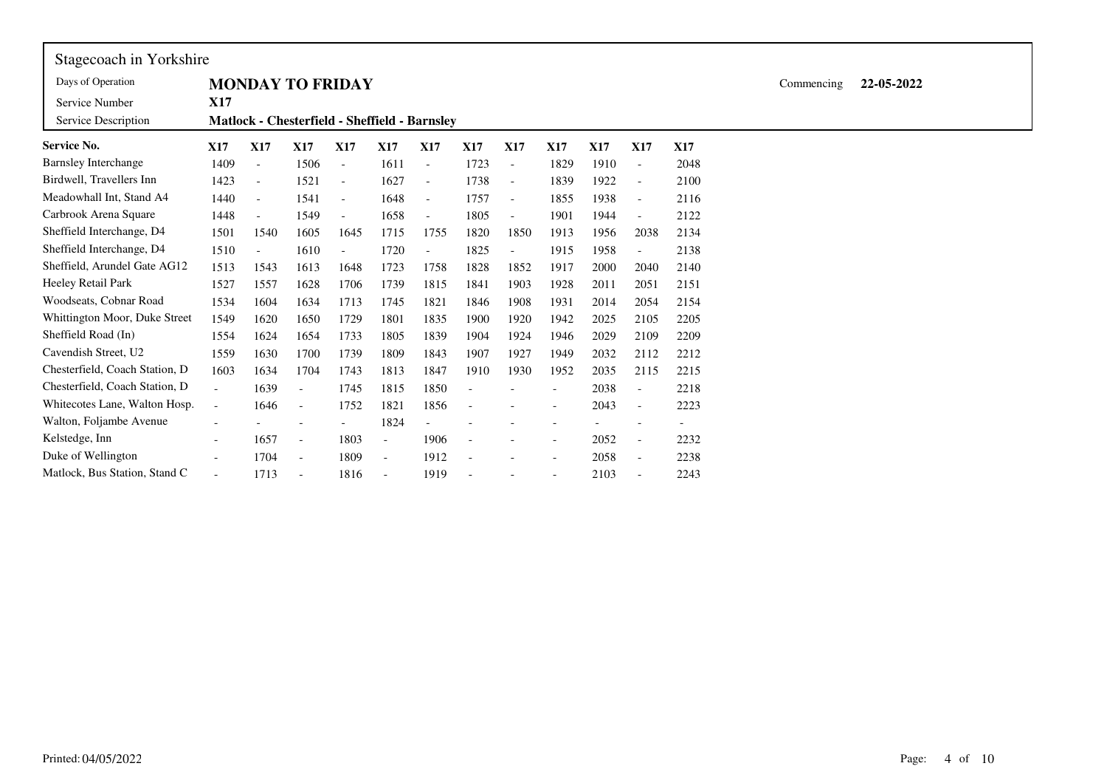| Stagecoach in Yorkshire        |                          |                          |                                               |                          |                          |                          |            |                          |                          |            |                          |                          |            |            |  |
|--------------------------------|--------------------------|--------------------------|-----------------------------------------------|--------------------------|--------------------------|--------------------------|------------|--------------------------|--------------------------|------------|--------------------------|--------------------------|------------|------------|--|
| Days of Operation              |                          |                          | <b>MONDAY TO FRIDAY</b>                       |                          |                          |                          |            |                          |                          |            |                          |                          | Commencing | 22-05-2022 |  |
| Service Number                 | <b>X17</b>               |                          |                                               |                          |                          |                          |            |                          |                          |            |                          |                          |            |            |  |
| Service Description            |                          |                          | Matlock - Chesterfield - Sheffield - Barnsley |                          |                          |                          |            |                          |                          |            |                          |                          |            |            |  |
| <b>Service No.</b>             | <b>X17</b>               | <b>X17</b>               | <b>X17</b>                                    | <b>X17</b>               | <b>X17</b>               | <b>X17</b>               | <b>X17</b> | <b>X17</b>               | <b>X17</b>               | <b>X17</b> | <b>X17</b>               | <b>X17</b>               |            |            |  |
| <b>Barnsley Interchange</b>    | 1409                     | $\sim$                   | 1506                                          | $\sim$                   | 1611                     | $\mathcal{L}$            | 1723       | $\sim$                   | 1829                     | 1910       | $\sim$                   | 2048                     |            |            |  |
| Birdwell, Travellers Inn       | 1423                     | $\overline{\phantom{a}}$ | 1521                                          | $\overline{\phantom{a}}$ | 1627                     | $\overline{\phantom{a}}$ | 1738       | $\overline{\phantom{a}}$ | 1839                     | 1922       | $\overline{\phantom{a}}$ | 2100                     |            |            |  |
| Meadowhall Int, Stand A4       | 1440                     | $\overline{\phantom{a}}$ | 1541                                          | $\overline{\phantom{a}}$ | 1648                     | $\overline{\phantom{a}}$ | 1757       | $\overline{\phantom{a}}$ | 1855                     | 1938       | $\overline{\phantom{a}}$ | 2116                     |            |            |  |
| Carbrook Arena Square          | 1448                     | $\bar{a}$                | 1549                                          | $\blacksquare$           | 1658                     |                          | 1805       | $\sim$                   | 1901                     | 1944       |                          | 2122                     |            |            |  |
| Sheffield Interchange, D4      | 1501                     | 1540                     | 1605                                          | 1645                     | 1715                     | 1755                     | 1820       | 1850                     | 1913                     | 1956       | 2038                     | 2134                     |            |            |  |
| Sheffield Interchange, D4      | 1510                     | $\overline{\phantom{a}}$ | 1610                                          | $\overline{\phantom{a}}$ | 1720                     | $\overline{\phantom{a}}$ | 1825       | $\overline{\phantom{a}}$ | 1915                     | 1958       | $\overline{\phantom{a}}$ | 2138                     |            |            |  |
| Sheffield, Arundel Gate AG12   | 1513                     | 1543                     | 1613                                          | 1648                     | 1723                     | 1758                     | 1828       | 1852                     | 1917                     | 2000       | 2040                     | 2140                     |            |            |  |
| Heeley Retail Park             | 1527                     | 1557                     | 1628                                          | 1706                     | 1739                     | 1815                     | 1841       | 1903                     | 1928                     | 2011       | 2051                     | 2151                     |            |            |  |
| Woodseats, Cobnar Road         | 1534                     | 1604                     | 1634                                          | 1713                     | 1745                     | 1821                     | 1846       | 1908                     | 1931                     | 2014       | 2054                     | 2154                     |            |            |  |
| Whittington Moor, Duke Street  | 1549                     | 1620                     | 1650                                          | 1729                     | 1801                     | 1835                     | 1900       | 1920                     | 1942                     | 2025       | 2105                     | 2205                     |            |            |  |
| Sheffield Road (In)            | 1554                     | 1624                     | 1654                                          | 1733                     | 1805                     | 1839                     | 1904       | 1924                     | 1946                     | 2029       | 2109                     | 2209                     |            |            |  |
| Cavendish Street, U2           | 1559                     | 1630                     | 1700                                          | 1739                     | 1809                     | 1843                     | 1907       | 1927                     | 1949                     | 2032       | 2112                     | 2212                     |            |            |  |
| Chesterfield, Coach Station, D | 1603                     | 1634                     | 1704                                          | 1743                     | 1813                     | 1847                     | 1910       | 1930                     | 1952                     | 2035       | 2115                     | 2215                     |            |            |  |
| Chesterfield, Coach Station, D | $\overline{\phantom{a}}$ | 1639                     | $\overline{\phantom{a}}$                      | 1745                     | 1815                     | 1850                     |            |                          | $\overline{\phantom{a}}$ | 2038       | $\overline{\phantom{a}}$ | 2218                     |            |            |  |
| Whitecotes Lane, Walton Hosp.  | $\sim$                   | 1646                     | $\overline{\phantom{a}}$                      | 1752                     | 1821                     | 1856                     |            |                          | $\overline{\phantom{a}}$ | 2043       | $\overline{\phantom{a}}$ | 2223                     |            |            |  |
| Walton, Foljambe Avenue        |                          |                          | $\overline{\phantom{a}}$                      | $\overline{\phantom{a}}$ | 1824                     |                          |            |                          | $\overline{\phantom{a}}$ |            |                          | $\overline{\phantom{a}}$ |            |            |  |
| Kelstedge, Inn                 |                          | 1657                     | $\overline{\phantom{a}}$                      | 1803                     | $\overline{\phantom{a}}$ | 1906                     |            |                          | $\overline{\phantom{a}}$ | 2052       |                          | 2232                     |            |            |  |
| Duke of Wellington             | $\overline{a}$           | 1704                     | $\overline{\phantom{a}}$                      | 1809                     | $\overline{\phantom{a}}$ | 1912                     |            |                          | $\overline{\phantom{a}}$ | 2058       | $\overline{\phantom{a}}$ | 2238                     |            |            |  |
| Matlock, Bus Station, Stand C  |                          | 1713                     | $\overline{\phantom{a}}$                      | 1816                     |                          | 1919                     |            |                          | $\overline{\phantom{a}}$ | 2103       |                          | 2243                     |            |            |  |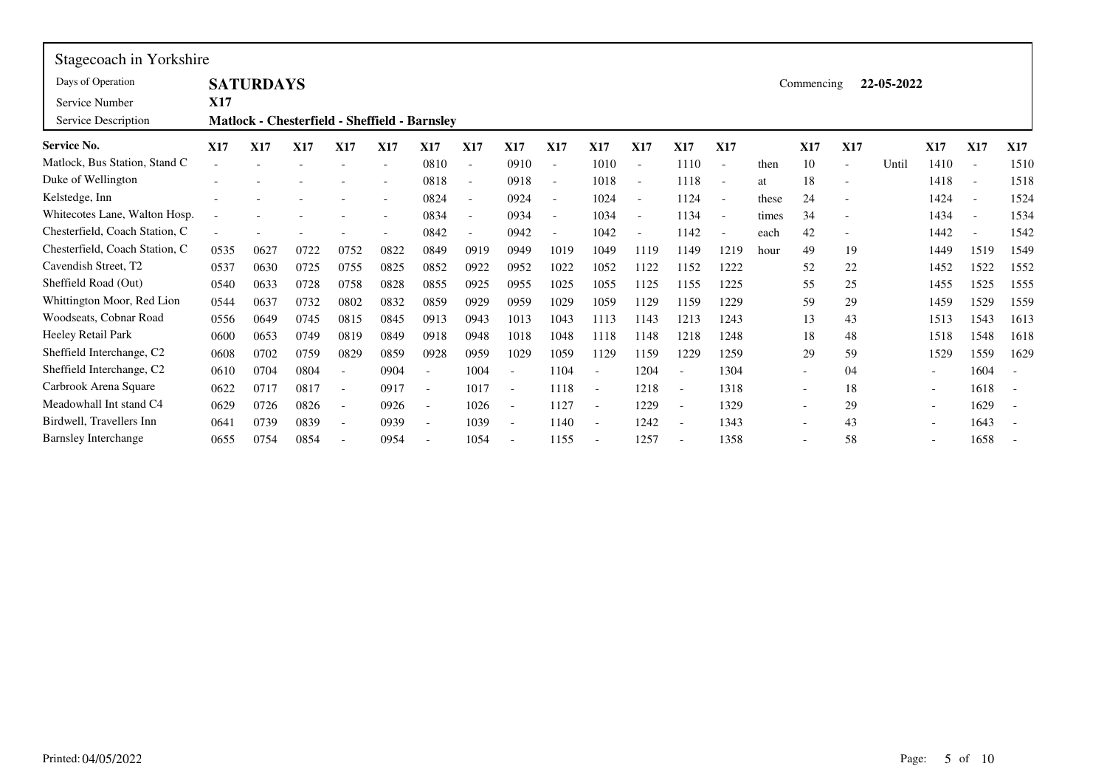| Stagecoach in Yorkshire        |            |                  |      |                          |                                               |                          |                          |                          |                          |                          |                          |                          |                          |       |                          |                              |            |                          |                          |            |
|--------------------------------|------------|------------------|------|--------------------------|-----------------------------------------------|--------------------------|--------------------------|--------------------------|--------------------------|--------------------------|--------------------------|--------------------------|--------------------------|-------|--------------------------|------------------------------|------------|--------------------------|--------------------------|------------|
| Days of Operation              |            | <b>SATURDAYS</b> |      |                          |                                               |                          |                          |                          |                          |                          |                          |                          |                          |       | Commencing               |                              | 22-05-2022 |                          |                          |            |
| Service Number                 | X17        |                  |      |                          |                                               |                          |                          |                          |                          |                          |                          |                          |                          |       |                          |                              |            |                          |                          |            |
| Service Description            |            |                  |      |                          | Matlock - Chesterfield - Sheffield - Barnsley |                          |                          |                          |                          |                          |                          |                          |                          |       |                          |                              |            |                          |                          |            |
| <b>Service No.</b>             | <b>X17</b> | X17              | X17  | <b>X17</b>               | <b>X17</b>                                    | <b>X17</b>               | <b>X17</b>               | <b>X17</b>               | <b>X17</b>               | <b>X17</b>               | <b>X17</b>               | X17                      | <b>X17</b>               |       | <b>X17</b>               | <b>X17</b>                   |            | <b>X17</b>               | <b>X17</b>               | <b>X17</b> |
| Matlock, Bus Station, Stand C  |            |                  |      |                          |                                               | 0810                     | $\overline{\phantom{a}}$ | 0910                     | $\overline{\phantom{a}}$ | 1010                     |                          | 1110                     | $\overline{\phantom{a}}$ | then  | 10                       | $\qquad \qquad \blacksquare$ | Until      | 1410                     |                          | 1510       |
| Duke of Wellington             |            |                  |      |                          |                                               | 0818                     | $\overline{\phantom{a}}$ | 0918                     | $\overline{a}$           | 1018                     | $\overline{\phantom{a}}$ | 1118                     | $\overline{\phantom{a}}$ | at    | 18                       | $\qquad \qquad -$            |            | 1418                     | $\overline{\phantom{a}}$ | 1518       |
| Kelstedge, Inn                 |            |                  |      |                          |                                               | 0824                     | $\overline{\phantom{a}}$ | 0924                     | $\overline{a}$           | 1024                     |                          | 1124                     | $\overline{\phantom{a}}$ | these | 24                       | $\overline{\phantom{a}}$     |            | 1424                     | $\overline{\phantom{a}}$ | 1524       |
| Whitecotes Lane, Walton Hosp.  |            |                  |      |                          |                                               | 0834                     | $\blacksquare$           | 0934                     | $\overline{a}$           | 1034                     |                          | 1134                     |                          | times | 34                       | $\overline{\phantom{a}}$     |            | 1434                     |                          | 1534       |
| Chesterfield, Coach Station, C |            |                  |      |                          |                                               | 0842                     | $\blacksquare$           | 0942                     | $\overline{a}$           | 1042                     |                          | 1142                     |                          | each  | 42                       |                              |            | 1442                     |                          | 1542       |
| Chesterfield, Coach Station, C | 0535       | 0627             | 0722 | 0752                     | 0822                                          | 0849                     | 0919                     | 0949                     | 1019                     | 1049                     | 1119                     | 1149                     | 1219                     | hour  | 49                       | 19                           |            | 1449                     | 1519                     | 1549       |
| Cavendish Street, T2           | 0537       | 0630             | 0725 | 0755                     | 0825                                          | 0852                     | 0922                     | 0952                     | 1022                     | 1052                     | 1122                     | 1152                     | 1222                     |       | 52                       | 22                           |            | 1452                     | 1522                     | 1552       |
| Sheffield Road (Out)           | 0540       | 0633             | 0728 | 0758                     | 0828                                          | 0855                     | 0925                     | 0955                     | 1025                     | 1055                     | 1125                     | 1155                     | 1225                     |       | 55                       | 25                           |            | 1455                     | 1525                     | 1555       |
| Whittington Moor, Red Lion     | 0544       | 0637             | 0732 | 0802                     | 0832                                          | 0859                     | 0929                     | 0959                     | 1029                     | 1059                     | 1129                     | 1159                     | 1229                     |       | 59                       | 29                           |            | 1459                     | 1529                     | 1559       |
| Woodseats, Cobnar Road         | 0556       | 0649             | 0745 | 0815                     | 0845                                          | 0913                     | 0943                     | 1013                     | 1043                     | 1113                     | 1143                     | 1213                     | 1243                     |       | 13                       | 43                           |            | 1513                     | 1543                     | 1613       |
| Heeley Retail Park             | 0600       | 0653             | 0749 | 0819                     | 0849                                          | 0918                     | 0948                     | 1018                     | 1048                     | 1118                     | 1148                     | 1218                     | 1248                     |       | 18                       | 48                           |            | 1518                     | 1548                     | 1618       |
| Sheffield Interchange, C2      | 0608       | 0702             | 0759 | 0829                     | 0859                                          | 0928                     | 0959                     | 1029                     | 1059                     | 1129                     | 1159                     | 1229                     | 1259                     |       | 29                       | 59                           |            | 1529                     | 1559                     | 1629       |
| Sheffield Interchange, C2      | 0610       | 0704             | 0804 |                          | 0904                                          | $\qquad \qquad -$        | 1004                     |                          | 1104                     | $\overline{\phantom{a}}$ | 1204                     | $\overline{\phantom{a}}$ | 1304                     |       | $\overline{\phantom{a}}$ | 04                           |            | $\overline{\phantom{a}}$ | 1604                     |            |
| Carbrook Arena Square          | 0622       | 0717             | 0817 | $\overline{\phantom{a}}$ | 0917                                          |                          | 1017                     |                          | 1118                     | $\overline{\phantom{a}}$ | 1218                     | $\overline{\phantom{a}}$ | 1318                     |       | $\overline{\phantom{a}}$ | 18                           |            | $\overline{\phantom{a}}$ | 1618                     |            |
| Meadowhall Int stand C4        | 0629       | 0726             | 0826 | $\overline{\phantom{a}}$ | 0926                                          | $\overline{\phantom{a}}$ | 1026                     | $\overline{\phantom{a}}$ | 1127                     | $\overline{\phantom{a}}$ | 1229                     | $\overline{\phantom{a}}$ | 1329                     |       | $\overline{\phantom{a}}$ | 29                           |            | $\overline{\phantom{a}}$ | 1629                     |            |
| Birdwell, Travellers Inn       | 0641       | 0739             | 0839 | $\overline{\phantom{a}}$ | 0939                                          | $\overline{\phantom{a}}$ | 1039                     | $\overline{\phantom{a}}$ | 1140                     | $\overline{\phantom{a}}$ | 1242                     | $\overline{\phantom{a}}$ | 1343                     |       |                          | 43                           |            | $\overline{\phantom{a}}$ | 1643                     |            |
| <b>Barnsley Interchange</b>    | 0655       | 0754             | 0854 |                          | 0954                                          |                          | 1054                     |                          | 1155                     |                          | 1257                     |                          | 1358                     |       |                          | 58                           |            |                          | 1658                     |            |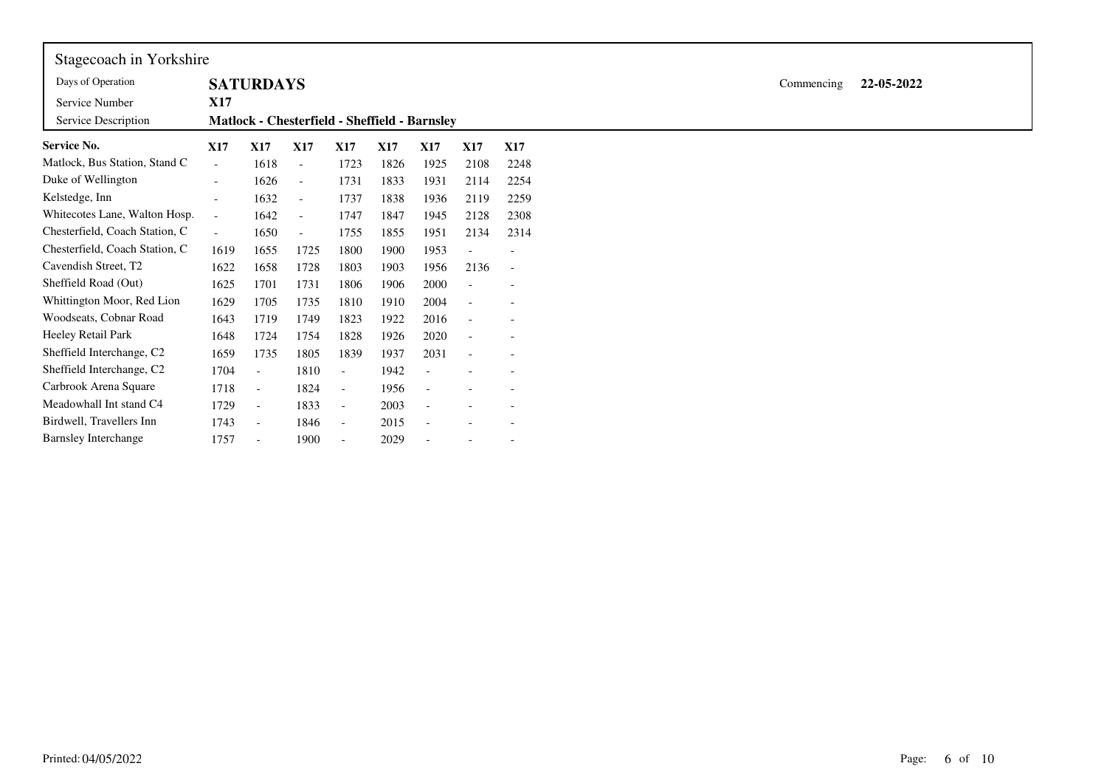| <b>X17</b>               |                          |                          |                          |      |      |                          |                                               |
|--------------------------|--------------------------|--------------------------|--------------------------|------|------|--------------------------|-----------------------------------------------|
|                          |                          |                          |                          |      |      |                          |                                               |
| X17                      | X17                      | X17                      | X17                      | X17  | X17  | X17                      | X17                                           |
| $\blacksquare$           | 1618                     | $\overline{\phantom{a}}$ | 1723                     | 1826 | 1925 | 2108                     | 2248                                          |
| $\overline{\phantom{0}}$ | 1626                     | $\sim$                   | 1731                     | 1833 | 1931 | 2114                     | 2254                                          |
| $\overline{\phantom{a}}$ | 1632                     | $\overline{\phantom{a}}$ | 1737                     | 1838 | 1936 | 2119                     | 2259                                          |
| $\bar{a}$                | 1642                     | $\sim$                   | 1747                     | 1847 | 1945 | 2128                     | 2308                                          |
| $\sim$                   | 1650                     | $\overline{\phantom{a}}$ | 1755                     | 1855 | 1951 | 2134                     | 2314                                          |
| 1619                     | 1655                     | 1725                     | 1800                     | 1900 | 1953 |                          |                                               |
| 1622                     | 1658                     | 1728                     | 1803                     | 1903 | 1956 | 2136                     | $\overline{\phantom{a}}$                      |
| 1625                     | 1701                     | 1731                     | 1806                     | 1906 | 2000 | $\bar{a}$                | $\overline{\phantom{a}}$                      |
| 1629                     | 1705                     | 1735                     | 1810                     | 1910 | 2004 | $\overline{\phantom{0}}$ | $\overline{\phantom{a}}$                      |
| 1643                     | 1719                     | 1749                     | 1823                     | 1922 | 2016 | $\overline{\phantom{a}}$ |                                               |
| 1648                     | 1724                     | 1754                     | 1828                     | 1926 | 2020 | $\overline{a}$           |                                               |
| 1659                     | 1735                     | 1805                     | 1839                     | 1937 | 2031 | $\blacksquare$           |                                               |
| 1704                     | $\overline{a}$           | 1810                     | $\overline{\phantom{a}}$ | 1942 |      |                          |                                               |
| 1718                     | $\overline{\phantom{a}}$ | 1824                     | $\sim$                   | 1956 |      |                          |                                               |
| 1729                     | $\sim$                   | 1833                     | $\overline{\phantom{a}}$ | 2003 |      |                          | $\overline{\phantom{a}}$                      |
| 1743                     | $\overline{\phantom{a}}$ | 1846                     | $\overline{\phantom{a}}$ | 2015 |      |                          |                                               |
| 1757                     | $\overline{\phantom{a}}$ | 1900                     | $\overline{\phantom{a}}$ | 2029 |      |                          |                                               |
|                          | Stagecoach in Yorkshire  |                          | <b>SATURDAYS</b>         |      |      |                          | Matlock - Chesterfield - Sheffield - Barnsley |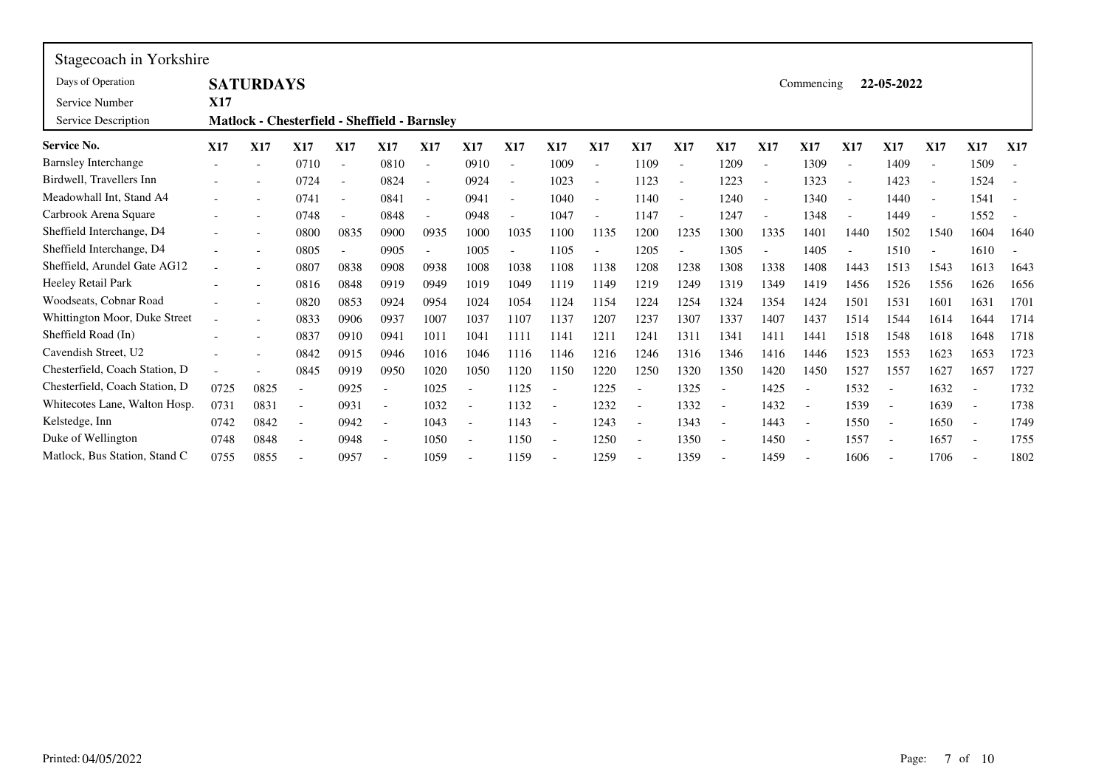| Stagecoach in Yorkshire        |            |                          |                                               |                          |                          |                          |                          |                          |                          |                          |                          |                          |                          |                          |                          |                          |                          |                          |                          |                          |
|--------------------------------|------------|--------------------------|-----------------------------------------------|--------------------------|--------------------------|--------------------------|--------------------------|--------------------------|--------------------------|--------------------------|--------------------------|--------------------------|--------------------------|--------------------------|--------------------------|--------------------------|--------------------------|--------------------------|--------------------------|--------------------------|
| Days of Operation              |            | <b>SATURDAYS</b>         |                                               |                          |                          |                          |                          |                          |                          |                          |                          |                          |                          |                          | Commencing               |                          | 22-05-2022               |                          |                          |                          |
| Service Number                 | <b>X17</b> |                          |                                               |                          |                          |                          |                          |                          |                          |                          |                          |                          |                          |                          |                          |                          |                          |                          |                          |                          |
| Service Description            |            |                          | Matlock - Chesterfield - Sheffield - Barnsley |                          |                          |                          |                          |                          |                          |                          |                          |                          |                          |                          |                          |                          |                          |                          |                          |                          |
| Service No.                    | <b>X17</b> | <b>X17</b>               | <b>X17</b>                                    | <b>X17</b>               | X17                      | <b>X17</b>               | <b>X17</b>               | X17                      | <b>X17</b>               | <b>X17</b>               | <b>X17</b>               | X17                      | <b>X17</b>               | <b>X17</b>               | X17                      | X17                      | <b>X17</b>               | X17                      | X17                      | <b>X17</b>               |
| <b>Barnsley Interchange</b>    |            | $\overline{\phantom{a}}$ | 0710                                          | $\overline{\phantom{a}}$ | 0810                     | $\overline{\phantom{a}}$ | 0910                     | $\overline{\phantom{a}}$ | 1009                     | $\overline{a}$           | 1109                     | $\overline{\phantom{0}}$ | 1209                     | $\overline{\phantom{a}}$ | 1309                     | $\overline{\phantom{a}}$ | 1409                     | $\overline{\phantom{0}}$ | 1509                     | $\overline{\phantom{a}}$ |
| Birdwell, Travellers Inn       |            | $\overline{\phantom{0}}$ | 0724                                          | $\overline{\phantom{a}}$ | 0824                     | $\overline{\phantom{a}}$ | 0924                     |                          | 1023                     | $\overline{\phantom{a}}$ | 1123                     | $\overline{\phantom{a}}$ | 1223                     | $\overline{\phantom{a}}$ | 1323                     | $\overline{\phantom{a}}$ | 1423                     |                          | 1524                     |                          |
| Meadowhall Int, Stand A4       |            | $\overline{\phantom{a}}$ | 0741                                          | $\overline{\phantom{a}}$ | 0841                     |                          | 0941                     |                          | 1040                     | $\overline{\phantom{a}}$ | 1140                     |                          | 1240                     | $\overline{\phantom{a}}$ | 1340                     | $\overline{\phantom{a}}$ | 1440                     |                          | 1541                     | $\blacksquare$           |
| Carbrook Arena Square          |            | $\overline{\phantom{a}}$ | 0748                                          |                          | 0848                     |                          | 0948                     |                          | 1047                     |                          | 1147                     |                          | 1247                     |                          | 1348                     |                          | 1449                     |                          | 1552                     |                          |
| Sheffield Interchange, D4      |            | $\overline{\phantom{a}}$ | 0800                                          | 0835                     | 0900                     | 0935                     | 1000                     | 1035                     | 1100                     | 1135                     | 1200                     | 1235                     | 1300                     | 1335                     | 1401                     | 1440                     | 1502                     | 1540                     | 1604                     | 1640                     |
| Sheffield Interchange, D4      |            |                          | 0805                                          |                          | 0905                     |                          | 1005                     |                          | 1105                     |                          | 1205                     |                          | 1305                     |                          | 1405                     |                          | 1510                     |                          | 1610                     |                          |
| Sheffield, Arundel Gate AG12   |            |                          | 0807                                          | 0838                     | 0908                     | 0938                     | 1008                     | 1038                     | 1108                     | 1138                     | 1208                     | 1238                     | 1308                     | 1338                     | 1408                     | 1443                     | 1513                     | 1543                     | 1613                     | 1643                     |
| Heeley Retail Park             |            | $\overline{\phantom{a}}$ | 0816                                          | 0848                     | 0919                     | 0949                     | 1019                     | 1049                     | 1119                     | 1149                     | 1219                     | 1249                     | 1319                     | 1349                     | 1419                     | 1456                     | 1526                     | 1556                     | 1626                     | 1656                     |
| Woodseats, Cobnar Road         |            |                          | 0820                                          | 0853                     | 0924                     | 0954                     | 1024                     | 1054                     | 1124                     | 1154                     | 1224                     | 1254                     | 1324                     | 1354                     | 1424                     | 1501                     | 1531                     | 1601                     | 1631                     | 1701                     |
| Whittington Moor, Duke Street  |            | $\overline{\phantom{a}}$ | 0833                                          | 0906                     | 0937                     | 1007                     | 1037                     | 1107                     | 1137                     | 1207                     | 1237                     | 1307                     | 1337                     | 1407                     | 1437                     | 1514                     | 1544                     | 1614                     | 1644                     | 1714                     |
| Sheffield Road (In)            |            | ٠                        | 0837                                          | 0910                     | 0941                     | 1011                     | 1041                     | 1111                     | 1141                     | 1211                     | 1241                     | 1311                     | 1341                     | 1411                     | 1441                     | 1518                     | 1548                     | 1618                     | 1648                     | 1718                     |
| Cavendish Street, U2           |            | $\overline{\phantom{a}}$ | 0842                                          | 0915                     | 0946                     | 1016                     | 1046                     | 1116                     | 1146                     | 1216                     | 1246                     | 1316                     | 1346                     | 1416                     | 1446                     | 1523                     | 1553                     | 1623                     | 1653                     | 1723                     |
| Chesterfield, Coach Station, D |            | $\overline{\phantom{a}}$ | 0845                                          | 0919                     | 0950                     | 1020                     | 1050                     | 1120                     | 1150                     | 1220                     | 1250                     | 1320                     | 1350                     | 1420                     | 1450                     | 1527                     | 1557                     | 1627                     | 1657                     | 1727                     |
| Chesterfield, Coach Station, D | 0725       | 0825                     | $\overline{\phantom{a}}$                      | 0925                     | $\overline{\phantom{a}}$ | 1025                     | $\overline{\phantom{a}}$ | 1125                     | $\blacksquare$           | 1225                     | $\overline{\phantom{a}}$ | 1325                     | $\overline{\phantom{a}}$ | 1425                     |                          | 1532                     | $\overline{\phantom{a}}$ | 1632                     | $\overline{\phantom{a}}$ | 1732                     |
| Whitecotes Lane, Walton Hosp.  | 0731       | 0831                     | $\blacksquare$                                | 0931                     | $\overline{\phantom{a}}$ | 1032                     | $\overline{\phantom{a}}$ | 1132                     | $\blacksquare$           | 1232                     | $\overline{\phantom{a}}$ | 1332                     | $\overline{\phantom{a}}$ | 1432                     |                          | 1539                     | $\overline{\phantom{a}}$ | 1639                     | $\blacksquare$           | 1738                     |
| Kelstedge, Inn                 | 0742       | 0842                     | $\overline{\phantom{a}}$                      | 0942                     | $\overline{\phantom{a}}$ | 1043                     | $\overline{\phantom{a}}$ | 1143                     | $\blacksquare$           | 1243                     | $\overline{\phantom{a}}$ | 1343                     | $\overline{\phantom{a}}$ | 1443                     | $\overline{\phantom{a}}$ | 1550                     | $\overline{\phantom{a}}$ | 1650                     | $\blacksquare$           | 1749                     |
| Duke of Wellington             | 0748       | 0848                     | $\overline{\phantom{a}}$                      | 0948                     | $\overline{\phantom{a}}$ | 1050                     | $\overline{\phantom{a}}$ | 1150                     | $\overline{\phantom{a}}$ | 1250                     | $\overline{\phantom{a}}$ | 1350                     | $\overline{\phantom{a}}$ | 1450                     | $\overline{\phantom{a}}$ | 1557                     | $\overline{\phantom{a}}$ | 1657                     | $\overline{\phantom{a}}$ | 1755                     |
| Matlock, Bus Station, Stand C  | 0755       | 0855                     | $\overline{\phantom{a}}$                      | 0957                     |                          | 1059                     | $\overline{\phantom{a}}$ | 1159                     | $\blacksquare$           | 1259                     |                          | 1359                     |                          | 1459                     |                          | 1606                     |                          | 1706                     | $\overline{\phantom{a}}$ | 1802                     |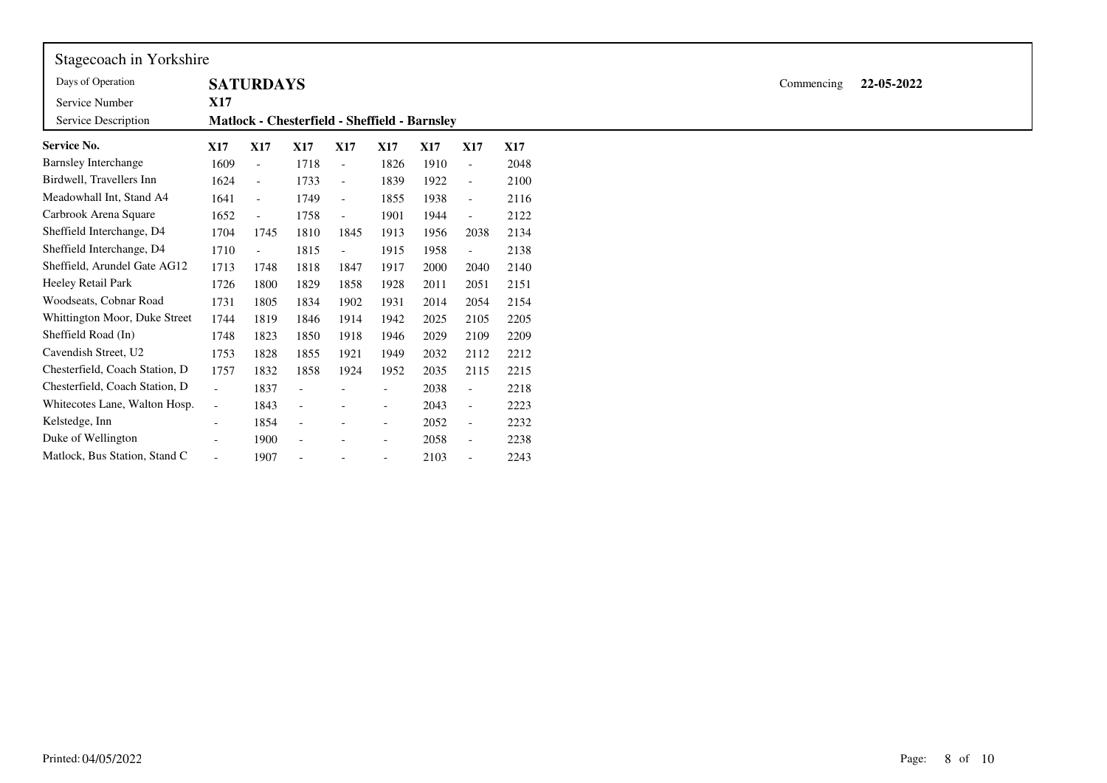| Stagecoach in Yorkshire        |                          |                          |                          |                          |                                               |            |                          |      |
|--------------------------------|--------------------------|--------------------------|--------------------------|--------------------------|-----------------------------------------------|------------|--------------------------|------|
| Days of Operation              |                          | <b>SATURDAYS</b>         |                          |                          |                                               |            |                          |      |
| Service Number                 | <b>X17</b>               |                          |                          |                          |                                               |            |                          |      |
| Service Description            |                          |                          |                          |                          | Matlock - Chesterfield - Sheffield - Barnsley |            |                          |      |
|                                |                          |                          |                          |                          |                                               |            |                          |      |
| <b>Service No.</b>             | <b>X17</b>               | X17                      | X17                      | X17                      | X17                                           | <b>X17</b> | X17                      | X17  |
| <b>Barnsley Interchange</b>    | 1609                     | $\blacksquare$           | 1718                     | $\overline{\phantom{a}}$ | 1826                                          | 1910       | $\blacksquare$           | 2048 |
| Birdwell, Travellers Inn       | 1624                     | $\overline{\phantom{a}}$ | 1733                     | $\overline{\phantom{a}}$ | 1839                                          | 1922       | $\blacksquare$           | 2100 |
| Meadowhall Int, Stand A4       | 1641                     | $\blacksquare$           | 1749                     | $\overline{\phantom{a}}$ | 1855                                          | 1938       | $\blacksquare$           | 2116 |
| Carbrook Arena Square          | 1652                     | $\overline{\phantom{a}}$ | 1758                     | $\overline{\phantom{a}}$ | 1901                                          | 1944       | $\blacksquare$           | 2122 |
| Sheffield Interchange, D4      | 1704                     | 1745                     | 1810                     | 1845                     | 1913                                          | 1956       | 2038                     | 2134 |
| Sheffield Interchange, D4      | 1710                     | $\overline{\phantom{a}}$ | 1815                     | $\overline{\phantom{a}}$ | 1915                                          | 1958       | $\blacksquare$           | 2138 |
| Sheffield, Arundel Gate AG12   | 1713                     | 1748                     | 1818                     | 1847                     | 1917                                          | 2000       | 2040                     | 2140 |
| Heeley Retail Park             | 1726                     | 1800                     | 1829                     | 1858                     | 1928                                          | 2011       | 2051                     | 2151 |
| Woodseats, Cobnar Road         | 1731                     | 1805                     | 1834                     | 1902                     | 1931                                          | 2014       | 2054                     | 2154 |
| Whittington Moor, Duke Street  | 1744                     | 1819                     | 1846                     | 1914                     | 1942                                          | 2025       | 2105                     | 2205 |
| Sheffield Road (In)            | 1748                     | 1823                     | 1850                     | 1918                     | 1946                                          | 2029       | 2109                     | 2209 |
| Cavendish Street, U2           | 1753                     | 1828                     | 1855                     | 1921                     | 1949                                          | 2032       | 2112                     | 2212 |
| Chesterfield, Coach Station, D | 1757                     | 1832                     | 1858                     | 1924                     | 1952                                          | 2035       | 2115                     | 2215 |
| Chesterfield, Coach Station, D | $ \,$                    | 1837                     | $\overline{\phantom{a}}$ |                          | $\overline{\phantom{a}}$                      | 2038       | $\blacksquare$           | 2218 |
| Whitecotes Lane, Walton Hosp.  | $\sim$                   | 1843                     |                          |                          | $\blacksquare$                                | 2043       | $\sim$                   | 2223 |
| Kelstedge, Inn                 | $\overline{\phantom{a}}$ | 1854                     |                          |                          | $\overline{\phantom{a}}$                      | 2052       | $\blacksquare$           | 2232 |
| Duke of Wellington             | $\overline{\phantom{a}}$ | 1900                     |                          |                          | $\overline{\phantom{a}}$                      | 2058       | $\overline{\phantom{a}}$ | 2238 |
| Matlock, Bus Station, Stand C  | $\sim$                   | 1907                     |                          |                          | $\overline{\phantom{a}}$                      | 2103       | $\overline{\phantom{a}}$ | 2243 |
|                                |                          |                          |                          |                          |                                               |            |                          |      |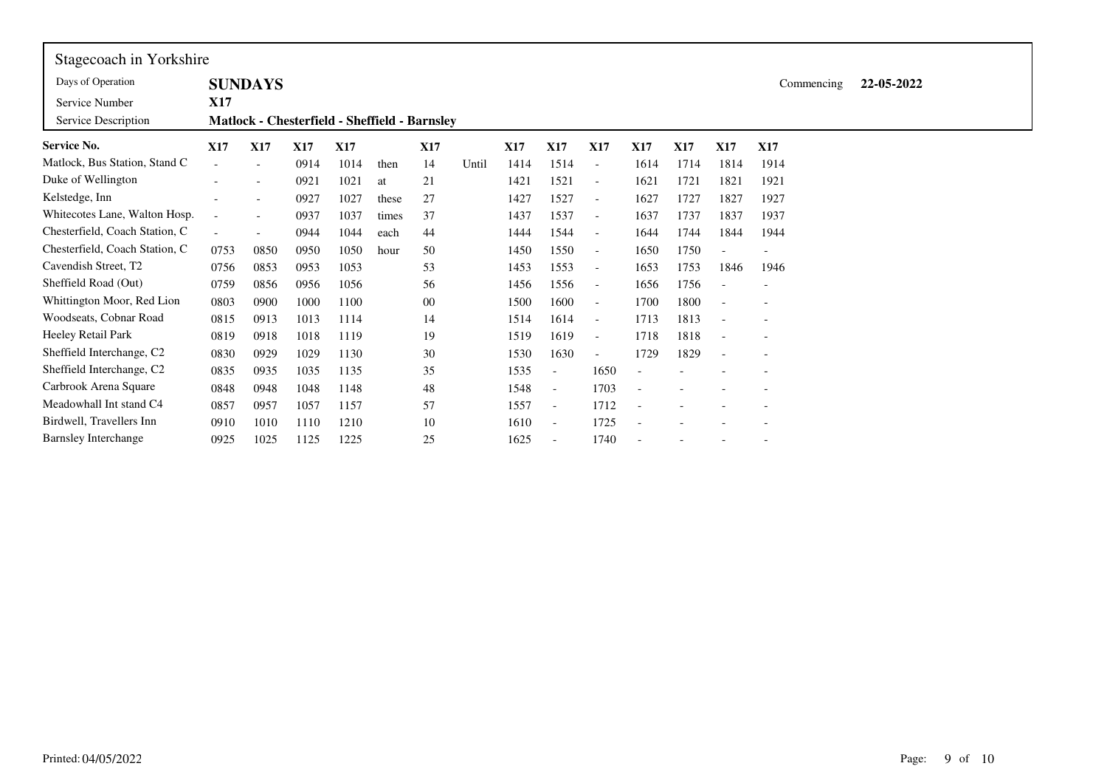| Stagecoach in Yorkshire               | <b>SUNDAYS</b> |                          |            |                                               |       |     |       |            |                          |                          |      |            |                          |            |            |  |
|---------------------------------------|----------------|--------------------------|------------|-----------------------------------------------|-------|-----|-------|------------|--------------------------|--------------------------|------|------------|--------------------------|------------|------------|--|
| Days of Operation                     |                |                          |            |                                               |       |     |       |            |                          |                          |      |            |                          | Commencing | 22-05-2022 |  |
| Service Number                        | <b>X17</b>     |                          |            |                                               |       |     |       |            |                          |                          |      |            |                          |            |            |  |
| Service Description                   |                |                          |            | Matlock - Chesterfield - Sheffield - Barnsley |       |     |       |            |                          |                          |      |            |                          |            |            |  |
| <b>Service No.</b>                    | <b>X17</b>     | X17                      | <b>X17</b> | X17                                           |       | X17 |       | <b>X17</b> | X17                      | X17                      | X17  | <b>X17</b> | X17                      | X17        |            |  |
| Matlock, Bus Station, Stand C         |                | $\overline{a}$           | 0914       | 1014                                          | then  | 14  | Until | 1414       | 1514                     | $\sim$                   | 1614 | 1714       | 1814                     | 1914       |            |  |
| Duke of Wellington                    |                | $\overline{\phantom{a}}$ | 0921       | 1021                                          | at    | 21  |       | 1421       | 1521                     | $\overline{\phantom{a}}$ | 1621 | 1721       | 1821                     | 1921       |            |  |
| Kelstedge, Inn                        |                | $\overline{\phantom{a}}$ | 0927       | 1027                                          | these | 27  |       | 1427       | 1527                     | $\overline{\phantom{a}}$ | 1627 | 1727       | 1827                     | 1927       |            |  |
| Whitecotes Lane, Walton Hosp.         | $\overline{a}$ | $\overline{\phantom{a}}$ | 0937       | 1037                                          | times | 37  |       | 1437       | 1537                     | $\overline{\phantom{a}}$ | 1637 | 1737       | 1837                     | 1937       |            |  |
| Chesterfield, Coach Station, C        |                | $\overline{\phantom{a}}$ | 0944       | 1044                                          | each  | 44  |       | 1444       | 1544                     | $\overline{\phantom{a}}$ | 1644 | 1744       | 1844                     | 1944       |            |  |
| Chesterfield, Coach Station, C        | 0753           | 0850                     | 0950       | 1050                                          | hour  | 50  |       | 1450       | 1550                     | $\overline{\phantom{a}}$ | 1650 | 1750       |                          |            |            |  |
| Cavendish Street, T2                  | 0756           | 0853                     | 0953       | 1053                                          |       | 53  |       | 1453       | 1553                     | $\overline{\phantom{a}}$ | 1653 | 1753       | 1846                     | 1946       |            |  |
| Sheffield Road (Out)                  | 0759           | 0856                     | 0956       | 1056                                          |       | 56  |       | 1456       | 1556                     | $\sim$                   | 1656 | 1756       |                          |            |            |  |
| Whittington Moor, Red Lion            | 0803           | 0900                     | 1000       | 1100                                          |       | 00  |       | 1500       | 1600                     | $\overline{\phantom{a}}$ | 1700 | 1800       | $\overline{\phantom{a}}$ |            |            |  |
| Woodseats, Cobnar Road                | 0815           | 0913                     | 1013       | 1114                                          |       | 14  |       | 1514       | 1614                     | $\sim$                   | 1713 | 1813       | $\overline{\phantom{a}}$ |            |            |  |
| Heeley Retail Park                    | 0819           | 0918                     | 1018       | 1119                                          |       | 19  |       | 1519       | 1619                     | $\overline{\phantom{a}}$ | 1718 | 1818       | $\overline{\phantom{a}}$ |            |            |  |
| Sheffield Interchange, C <sub>2</sub> | 0830           | 0929                     | 1029       | 1130                                          |       | 30  |       | 1530       | 1630                     | $\sim$                   | 1729 | 1829       | $\overline{\phantom{a}}$ |            |            |  |
| Sheffield Interchange, C2             | 0835           | 0935                     | 1035       | 1135                                          |       | 35  |       | 1535       | $\bar{a}$                | 1650                     |      |            |                          |            |            |  |
| Carbrook Arena Square                 | 0848           | 0948                     | 1048       | 1148                                          |       | 48  |       | 1548       | $\bar{a}$                | 1703                     |      |            |                          |            |            |  |
| Meadowhall Int stand C4               | 0857           | 0957                     | 1057       | 1157                                          |       | 57  |       | 1557       | $\overline{\phantom{a}}$ | 1712                     |      |            |                          |            |            |  |
| Birdwell, Travellers Inn              | 0910           | 1010                     | 1110       | 1210                                          |       | 10  |       | 1610       |                          | 1725                     |      |            |                          |            |            |  |
| <b>Barnsley Interchange</b>           | 0925           | 1025                     | 1125       | 1225                                          |       | 25  |       | 1625       |                          | 1740                     |      |            |                          |            |            |  |
|                                       |                |                          |            |                                               |       |     |       |            |                          |                          |      |            |                          |            |            |  |

 $\blacksquare$